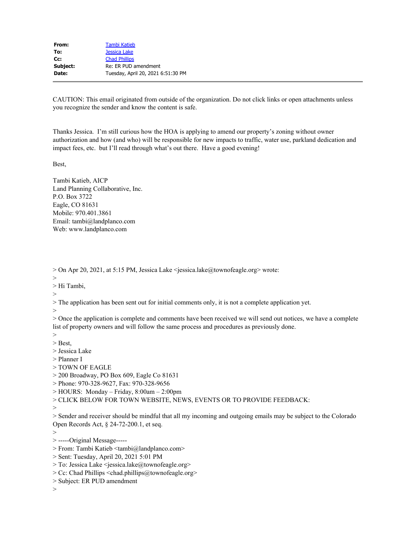| From:    | <b>Tambi Katieb</b>                |
|----------|------------------------------------|
| To:      | Jessica Lake                       |
| Cc:      | <b>Chad Phillips</b>               |
| Subject: | Re: ER PUD amendment               |
| Date:    | Tuesday, April 20, 2021 6:51:30 PM |
|          |                                    |

CAUTION: This email originated from outside of the organization. Do not click links or open attachments unless you recognize the sender and know the content is safe.

Thanks Jessica. I'm still curious how the HOA is applying to amend our property's zoning without owner authorization and how (and who) will be responsible for new impacts to traffic, water use, parkland dedication and impact fees, etc. but I'll read through what's out there. Have a good evening!

Best,

Tambi Katieb, AICP Land Planning Collaborative, Inc. P.O. Box 3722 Eagle, CO 81631 Mobile: 970.401.3861 Email: tambi@landplanco.com Web: www.landplanco.com

> On Apr 20, 2021, at 5:15 PM, Jessica Lake <jessica.lake@townofeagle.org> wrote:

>

> Hi Tambi,

 $>$ 

> The application has been sent out for initial comments only, it is not a complete application yet.

>

> Once the application is complete and comments have been received we will send out notices, we have a complete list of property owners and will follow the same process and procedures as previously done.

> > Best,

> Jessica Lake

> Planner I

> TOWN OF EAGLE

> 200 Broadway, PO Box 609, Eagle Co 81631

> Phone: 970-328-9627, Fax: 970-328-9656

> HOURS: Monday – Friday, 8:00am – 2:00pm

> CLICK BELOW FOR TOWN WEBSITE, NEWS, EVENTS OR TO PROVIDE FEEDBACK:

>

> Sender and receiver should be mindful that all my incoming and outgoing emails may be subject to the Colorado Open Records Act, § 24-72-200.1, et seq.

>

> -----Original Message-----

> From: Tambi Katieb <tambi@landplanco.com>

> Sent: Tuesday, April 20, 2021 5:01 PM

> To: Jessica Lake <jessica.lake@townofeagle.org>

> Cc: Chad Phillips <chad.phillips@townofeagle.org>

> Subject: ER PUD amendment

 $>$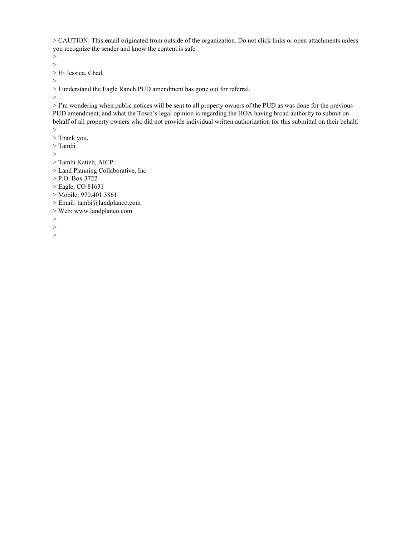> CAUTION: This email originated from outside of the organization. Do not click links or open attachments unless you recognize the sender and know the content is safe.

> > Hi Jessica, Chad,

>

> I understand the Eagle Ranch PUD amendment has gone out for referral.

>

>

> I'm wondering when public notices will be sent to all property owners of the PUD as was done for the previous PUD amendment, and what the Town's legal opinion is regarding the HOA having broad authority to submit on behalf of all property owners who did not provide individual written authorization for this submittal on their behalf.  $>$ 

- > Thank you,
- > Tambi
- >
- > Tambi Katieb, AICP
- > Land Planning Collaborative, Inc.
- > P.O. Box 3722
- > Eagle, CO 81631
- > Mobile: 970.401.3861
- > Email: tambi@landplanco.com
- > Web: www.landplanco.com
- >
- >
- >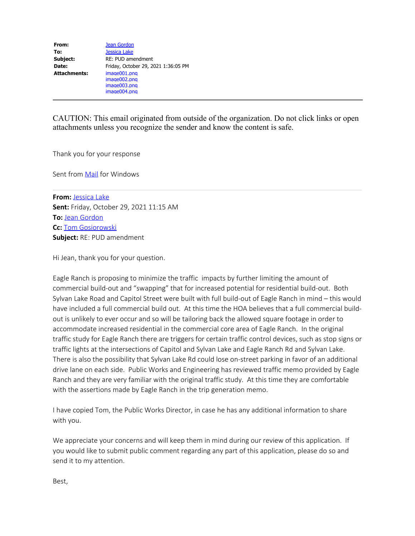| From:               | Jean Gordon                         |
|---------------------|-------------------------------------|
| To:                 | <b>Jessica Lake</b>                 |
| Subject:            | RE: PUD amendment                   |
| Date:               | Friday, October 29, 2021 1:36:05 PM |
| <b>Attachments:</b> | image001.png                        |
|                     | image002.png                        |
|                     | image003.png                        |
|                     | image004.png                        |

CAUTION: This email originated from outside of the organization. Do not click links or open attachments unless you recognize the sender and know the content is safe.

Thank you for your response

Sent from **Mail** for Windows

**From:** [Jessica Lake](mailto:jessica.lake@townofeagle.org) **Sent:** Friday, October 29, 2021 11:15 AM **To: [Jean Gordon](mailto:whoopi10@hotmail.com) Cc:** [Tom Gosiorowski](mailto:tom.gosiorowski@townofeagle.org) **Subject:** RE: PUD amendment

Hi Jean, thank you for your question.

Eagle Ranch is proposing to minimize the traffic impacts by further limiting the amount of commercial build-out and "swapping" that for increased potential for residential build-out. Both Sylvan Lake Road and Capitol Street were built with full build-out of Eagle Ranch in mind – this would have included a full commercial build out. At this time the HOA believes that a full commercial buildout is unlikely to ever occur and so will be tailoring back the allowed square footage in order to accommodate increased residential in the commercial core area of Eagle Ranch. In the original traffic study for Eagle Ranch there are triggers for certain traffic control devices, such as stop signs or traffic lights at the intersections of Capitol and Sylvan Lake and Eagle Ranch Rd and Sylvan Lake. There is also the possibility that Sylvan Lake Rd could lose on-street parking in favor of an additional drive lane on each side. Public Works and Engineering has reviewed traffic memo provided by Eagle Ranch and they are very familiar with the original traffic study. At this time they are comfortable with the assertions made by Eagle Ranch in the trip generation memo.

I have copied Tom, the Public Works Director, in case he has any additional information to share with you.

We appreciate your concerns and will keep them in mind during our review of this application. If you would like to submit public comment regarding any part of this application, please do so and send it to my attention.

Best,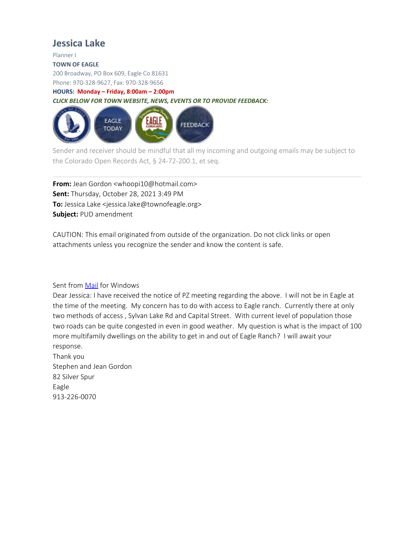## **Jessica Lake**

Planner I

#### **TOWN OF EAGLE**

200 Broadway, PO Box 609, Eagle Co 81631

Phone: 970-328-9627, Fax: 970-328-9656

#### **HOURS: Monday – Friday, 8:00am – 2:00pm**

*CLICK BELOW FOR TOWN WEBSITE, NEWS, EVENTS OR TO PROVIDE FEEDBACK:*



Sender and receiver should be mindful that all my incoming and outgoing emails may be subject to the Colorado Open Records Act, § 24-72-200.1, et seq.

**From:** Jean Gordon <whoopi10@hotmail.com> **Sent:** Thursday, October 28, 2021 3:49 PM **To:** Jessica Lake <jessica.lake@townofeagle.org> **Subject:** PUD amendment

CAUTION: This email originated from outside of the organization. Do not click links or open attachments unless you recognize the sender and know the content is safe.

#### Sent from [Mail](https://na01.safelinks.protection.outlook.com/?url=https%3A%2F%2Fgo.microsoft.com%2Ffwlink%2F%3FLinkId%3D550986&data=04%7C01%7C%7C05dacbb1b3674ca6eedd08d99affb5dc%7C84df9e7fe9f640afb435aaaaaaaaaaaa%7C1%7C0%7C637711245472036503%7CUnknown%7CTWFpbGZsb3d8eyJWIjoiMC4wLjAwMDAiLCJQIjoiV2luMzIiLCJBTiI6Ik1haWwiLCJXVCI6Mn0%3D%7C1000&sdata=lyaoQPhOpDSjDgmBioRIktfblKVTXjhAGHxbIkDh%2BJ8%3D&reserved=0) for Windows

Dear Jessica: I have received the notice of PZ meeting regarding the above. I will not be in Eagle at the time of the meeting. My concern has to do with access to Eagle ranch. Currently there at only two methods of access , Sylvan Lake Rd and Capital Street. With current level of population those two roads can be quite congested in even in good weather. My question is what is the impact of 100 more multifamily dwellings on the ability to get in and out of Eagle Ranch? I will await your response.

Thank you Stephen and Jean Gordon 82 Silver Spur Eagle 913-226-0070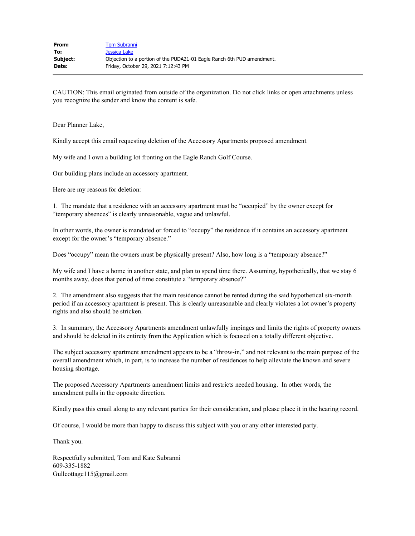CAUTION: This email originated from outside of the organization. Do not click links or open attachments unless you recognize the sender and know the content is safe.

Dear Planner Lake,

Kindly accept this email requesting deletion of the Accessory Apartments proposed amendment.

My wife and I own a building lot fronting on the Eagle Ranch Golf Course.

Our building plans include an accessory apartment.

Here are my reasons for deletion:

1. The mandate that a residence with an accessory apartment must be "occupied" by the owner except for "temporary absences" is clearly unreasonable, vague and unlawful.

In other words, the owner is mandated or forced to "occupy" the residence if it contains an accessory apartment except for the owner's "temporary absence."

Does "occupy" mean the owners must be physically present? Also, how long is a "temporary absence?"

My wife and I have a home in another state, and plan to spend time there. Assuming, hypothetically, that we stay 6 months away, does that period of time constitute a "temporary absence?"

2. The amendment also suggests that the main residence cannot be rented during the said hypothetical six-month period if an accessory apartment is present. This is clearly unreasonable and clearly violates a lot owner's property rights and also should be stricken.

3. In summary, the Accessory Apartments amendment unlawfully impinges and limits the rights of property owners and should be deleted in its entirety from the Application which is focused on a totally different objective.

The subject accessory apartment amendment appears to be a "throw-in," and not relevant to the main purpose of the overall amendment which, in part, is to increase the number of residences to help alleviate the known and severe housing shortage.

The proposed Accessory Apartments amendment limits and restricts needed housing. In other words, the amendment pulls in the opposite direction.

Kindly pass this email along to any relevant parties for their consideration, and please place it in the hearing record.

Of course, I would be more than happy to discuss this subject with you or any other interested party.

Thank you.

Respectfully submitted, Tom and Kate Subranni 609-335-1882 Gullcottage115@gmail.com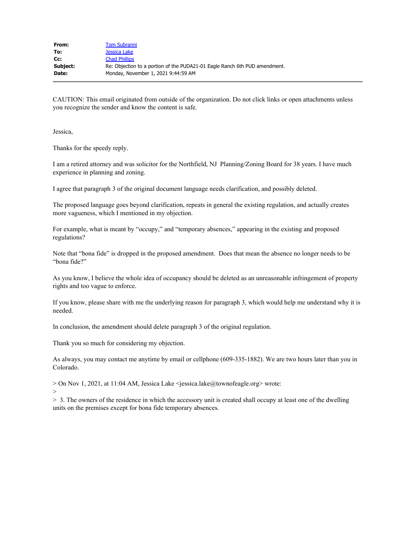| From:    | <b>Tom Subranni</b>                                                        |
|----------|----------------------------------------------------------------------------|
| To:      | Jessica Lake                                                               |
| $Cc$ :   | <b>Chad Phillips</b>                                                       |
| Subject: | Re: Objection to a portion of the PUDA21-01 Eagle Ranch 6th PUD amendment. |
| Date:    | Monday, November 1, 2021 9:44:59 AM                                        |
|          |                                                                            |

CAUTION: This email originated from outside of the organization. Do not click links or open attachments unless you recognize the sender and know the content is safe.

Jessica,

Thanks for the speedy reply.

I am a retired attorney and was solicitor for the Northfield, NJ Planning/Zoning Board for 38 years. I have much experience in planning and zoning.

I agree that paragraph 3 of the original document language needs clarification, and possibly deleted.

The proposed language goes beyond clarification, repeats in general the existing regulation, and actually creates more vagueness, which I mentioned in my objection.

For example, what is meant by "occupy," and "temporary absences," appearing in the existing and proposed regulations?

Note that "bona fide" is dropped in the proposed amendment. Does that mean the absence no longer needs to be "bona fide?"

As you know, I believe the whole idea of occupancy should be deleted as an unreasonable infringement of property rights and too vague to enforce.

If you know, please share with me the underlying reason for paragraph 3, which would help me understand why it is needed.

In conclusion, the amendment should delete paragraph 3 of the original regulation.

Thank you so much for considering my objection.

As always, you may contact me anytime by email or cellphone (609-335-1882). We are two hours later than you in Colorado.

> On Nov 1, 2021, at 11:04 AM, Jessica Lake <jessica.lake@townofeagle.org> wrote:

>

> 3. The owners of the residence in which the accessory unit is created shall occupy at least one of the dwelling units on the premises except for bona fide temporary absences.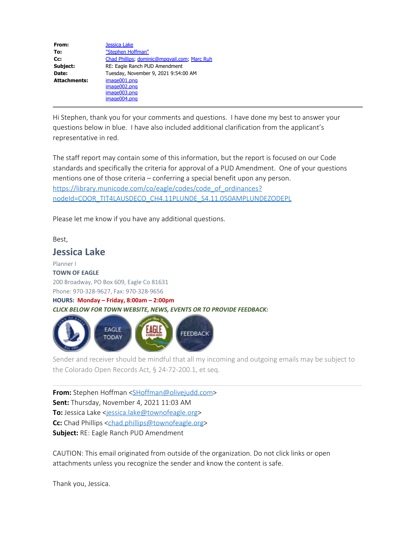| From:               | <b>Jessica Lake</b>                          |
|---------------------|----------------------------------------------|
| To:                 | "Stephen Hoffman"                            |
| Cc:                 | Chad Phillips; dominic@mpgvail.com; Marc Ruh |
| Subject:            | RE: Eagle Ranch PUD Amendment                |
| Date:               | Tuesday, November 9, 2021 9:54:00 AM         |
| <b>Attachments:</b> | image001.png                                 |
|                     | image002.png                                 |
|                     | image003.png                                 |
|                     | image004.png                                 |

Hi Stephen, thank you for your comments and questions. I have done my best to answer your questions below in blue. I have also included additional clarification from the applicant's representative in red.

The staff report may contain some of this information, but the report is focused on our Code standards and specifically the criteria for approval of a PUD Amendment. One of your questions mentions one of those criteria – conferring a special benefit upon any person. [https://library.municode.com/co/eagle/codes/code\\_of\\_ordinances?](https://library.municode.com/co/eagle/codes/code_of_ordinances?nodeId=COOR_TIT4LAUSDECO_CH4.11PLUNDE_S4.11.050AMPLUNDEZODEPL) [nodeId=COOR\\_TIT4LAUSDECO\\_CH4.11PLUNDE\\_S4.11.050AMPLUNDEZODEPL](https://library.municode.com/co/eagle/codes/code_of_ordinances?nodeId=COOR_TIT4LAUSDECO_CH4.11PLUNDE_S4.11.050AMPLUNDEZODEPL)

Please let me know if you have any additional questions.

Best,

## **Jessica Lake**

Planner I **TOWN OF EAGLE** 200 Broadway, PO Box 609, Eagle Co 81631 Phone: 970-328-9627, Fax: 970-328-9656

**HOURS: Monday – Friday, 8:00am – 2:00pm** *CLICK BELOW FOR TOWN WEBSITE, NEWS, EVENTS OR TO PROVIDE FEEDBACK:*



Sender and receiver should be mindful that all my incoming and outgoing emails may be subject to the Colorado Open Records Act, § 24-72-200.1, et seq.

**From:** Stephen Hoffman [<SHoffman@olivejudd.com](mailto:SHoffman@olivejudd.com)> **Sent:** Thursday, November 4, 2021 11:03 AM To: Jessica Lake <[jessica.lake@townofeagle.org](mailto:jessica.lake@townofeagle.org)> **Cc:** Chad Phillips [<chad.phillips@townofeagle.org](mailto:chad.phillips@townofeagle.org)> **Subject:** RE: Eagle Ranch PUD Amendment

CAUTION: This email originated from outside of the organization. Do not click links or open attachments unless you recognize the sender and know the content is safe.

Thank you, Jessica.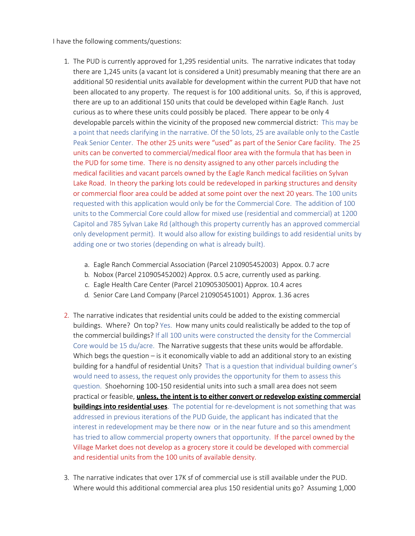I have the following comments/questions:

- 1. The PUD is currently approved for 1,295 residential units. The narrative indicates that today there are 1,245 units (a vacant lot is considered a Unit) presumably meaning that there are an additional 50 residential units available for development within the current PUD that have not been allocated to any property. The request is for 100 additional units. So, if this is approved, there are up to an additional 150 units that could be developed within Eagle Ranch. Just curious as to where these units could possibly be placed. There appear to be only 4 developable parcels within the vicinity of the proposed new commercial district: This may be a point that needs clarifying in the narrative. Of the 50 lots, 25 are available only to the Castle Peak Senior Center. The other 25 units were "used" as part of the Senior Care facility. The 25 units can be converted to commercial/medical floor area with the formula that has been in the PUD for some time. There is no density assigned to any other parcels including the medical facilities and vacant parcels owned by the Eagle Ranch medical facilities on Sylvan Lake Road. In theory the parking lots could be redeveloped in parking structures and density or commercial floor area could be added at some point over the next 20 years. The 100 units requested with this application would only be for the Commercial Core. The addition of 100 units to the Commercial Core could allow for mixed use (residential and commercial) at 1200 Capitol and 785 Sylvan Lake Rd (although this property currently has an approved commercial only development permit). It would also allow for existing buildings to add residential units by adding one or two stories (depending on what is already built).
	- a. Eagle Ranch Commercial Association (Parcel 210905452003) Appox. 0.7 acre
	- b. Nobox (Parcel 210905452002) Approx. 0.5 acre, currently used as parking.
	- c. Eagle Health Care Center (Parcel 210905305001) Approx. 10.4 acres
	- d. Senior Care Land Company (Parcel 210905451001) Approx. 1.36 acres
- 2. The narrative indicates that residential units could be added to the existing commercial buildings. Where? On top? Yes. How many units could realistically be added to the top of the commercial buildings? If all 100 units were constructed the density for the Commercial Core would be 15 du/acre. The Narrative suggests that these units would be affordable. Which begs the question  $-$  is it economically viable to add an additional story to an existing building for a handful of residential Units? That is a question that individual building owner's would need to assess, the request only provides the opportunity for them to assess this question. Shoehorning 100-150 residential units into such a small area does not seem practical or feasible, **unless, the intent is to either convert or redevelop existing commercial buildings into residential uses**. The potential for re-development is not something that was addressed in previous iterations of the PUD Guide, the applicant has indicated that the interest in redevelopment may be there now or in the near future and so this amendment has tried to allow commercial property owners that opportunity. If the parcel owned by the Village Market does not develop as a grocery store it could be developed with commercial and residential units from the 100 units of available density.
- 3. The narrative indicates that over 17K sf of commercial use is still available under the PUD. Where would this additional commercial area plus 150 residential units go? Assuming 1,000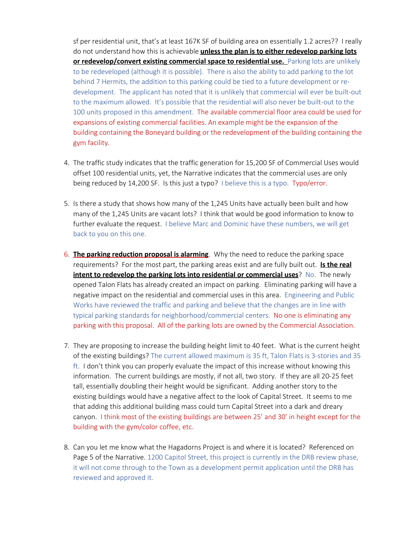sf per residential unit, that's at least 167K SF of building area on essentially 1.2 acres?? I really do not understand how this is achievable **unless the plan is to either redevelop parking lots or redevelop/convert existing commercial space to residential use.** Parking lots are unlikely to be redeveloped (although it is possible). There is also the ability to add parking to the lot behind 7 Hermits, the addition to this parking could be tied to a future development or redevelopment. The applicant has noted that it is unlikely that commercial will ever be built-out to the maximum allowed. It's possible that the residential will also never be built-out to the 100 units proposed in this amendment. The available commercial floor area could be used for expansions of existing commercial facilities. An example might be the expansion of the building containing the Boneyard building or the redevelopment of the building containing the gym facility.

- 4. The traffic study indicates that the traffic generation for 15,200 SF of Commercial Uses would offset 100 residential units, yet, the Narrative indicates that the commercial uses are only being reduced by 14,200 SF. Is this just a typo? I believe this is a typo. Typo/error.
- 5. Is there a study that shows how many of the 1,245 Units have actually been built and how many of the 1,245 Units are vacant lots? I think that would be good information to know to further evaluate the request. I believe Marc and Dominic have these numbers, we will get back to you on this one.
- 6. **The parking reduction proposal is alarming**. Why the need to reduce the parking space requirements? For the most part, the parking areas exist and are fully built out. **Is the real intent to redevelop the parking lots into residential or commercial uses**? No. The newly opened Talon Flats has already created an impact on parking. Eliminating parking will have a negative impact on the residential and commercial uses in this area. Engineering and Public Works have reviewed the traffic and parking and believe that the changes are in line with typical parking standards for neighborhood/commercial centers. No one is eliminating any parking with this proposal. All of the parking lots are owned by the Commercial Association.
- 7. They are proposing to increase the building height limit to 40 feet. What is the current height of the existing buildings? The current allowed maximum is 35 ft, Talon Flats is 3-stories and 35 ft. I don't think you can properly evaluate the impact of this increase without knowing this information. The current buildings are mostly, if not all, two story. If they are all 20-25 feet tall, essentially doubling their height would be significant. Adding another story to the existing buildings would have a negative affect to the look of Capital Street. It seems to me that adding this additional building mass could turn Capital Street into a dark and dreary canyon. I think most of the existing buildings are between 25' and 30' in height except for the building with the gym/color coffee, etc.
- 8. Can you let me know what the Hagadorns Project is and where it is located? Referenced on Page 5 of the Narrative. 1200 Capitol Street, this project is currently in the DRB review phase, it will not come through to the Town as a development permit application until the DRB has reviewed and approved it.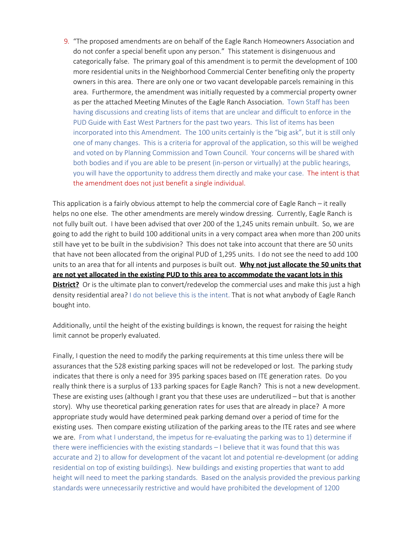9. "The proposed amendments are on behalf of the Eagle Ranch Homeowners Association and do not confer a special benefit upon any person." This statement is disingenuous and categorically false. The primary goal of this amendment is to permit the development of 100 more residential units in the Neighborhood Commercial Center benefiting only the property owners in this area. There are only one or two vacant developable parcels remaining in this area. Furthermore, the amendment was initially requested by a commercial property owner as per the attached Meeting Minutes of the Eagle Ranch Association. Town Staff has been having discussions and creating lists of items that are unclear and difficult to enforce in the PUD Guide with East West Partners for the past two years. This list of items has been incorporated into this Amendment. The 100 units certainly is the "big ask", but it is still only one of many changes. This is a criteria for approval of the application, so this will be weighed and voted on by Planning Commission and Town Council. Your concerns will be shared with both bodies and if you are able to be present (in-person or virtually) at the public hearings, you will have the opportunity to address them directly and make your case. The intent is that the amendment does not just benefit a single individual.

This application is a fairly obvious attempt to help the commercial core of Eagle Ranch – it really helps no one else. The other amendments are merely window dressing. Currently, Eagle Ranch is not fully built out. I have been advised that over 200 of the 1,245 units remain unbuilt. So, we are going to add the right to build 100 additional units in a very compact area when more than 200 units still have yet to be built in the subdivision? This does not take into account that there are 50 units that have not been allocated from the original PUD of 1,295 units. I do not see the need to add 100 units to an area that for all intents and purposes is built out. **Why not just allocate the 50 units that are not yet allocated in the existing PUD to this area to accommodate the vacant lots in this District?** Or is the ultimate plan to convert/redevelop the commercial uses and make this just a high density residential area? I do not believe this is the intent. That is not what anybody of Eagle Ranch bought into.

Additionally, until the height of the existing buildings is known, the request for raising the height limit cannot be properly evaluated.

Finally, I question the need to modify the parking requirements at this time unless there will be assurances that the 528 existing parking spaces will not be redeveloped or lost. The parking study indicates that there is only a need for 395 parking spaces based on ITE generation rates. Do you really think there is a surplus of 133 parking spaces for Eagle Ranch? This is not a new development. These are existing uses (although I grant you that these uses are underutilized – but that is another story). Why use theoretical parking generation rates for uses that are already in place? A more appropriate study would have determined peak parking demand over a period of time for the existing uses. Then compare existing utilization of the parking areas to the ITE rates and see where we are. From what I understand, the impetus for re-evaluating the parking was to 1) determine if there were inefficiencies with the existing standards – I believe that it was found that this was accurate and 2) to allow for development of the vacant lot and potential re-development (or adding residential on top of existing buildings). New buildings and existing properties that want to add height will need to meet the parking standards. Based on the analysis provided the previous parking standards were unnecessarily restrictive and would have prohibited the development of 1200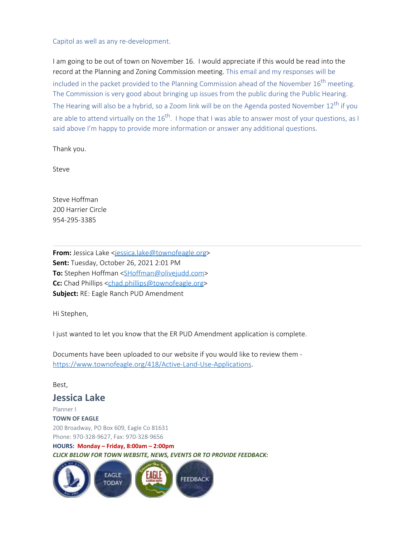#### Capitol as well as any re-development.

I am going to be out of town on November 16. I would appreciate if this would be read into the record at the Planning and Zoning Commission meeting. This email and my responses will be included in the packet provided to the Planning Commission ahead of the November  $16<sup>th</sup>$  meeting. The Commission is very good about bringing up issues from the public during the Public Hearing. The Hearing will also be a hybrid, so a Zoom link will be on the Agenda posted November  $12^{th}$  if you are able to attend virtually on the  $16^{th}$ . I hope that I was able to answer most of your questions, as I said above I'm happy to provide more information or answer any additional questions.

Thank you.

Steve

Steve Hoffman 200 Harrier Circle 954-295-3385

From: Jessica Lake <[jessica.lake@townofeagle.org](mailto:jessica.lake@townofeagle.org)> **Sent:** Tuesday, October 26, 2021 2:01 PM **To:** Stephen Hoffman [<SHoffman@olivejudd.com](mailto:SHoffman@olivejudd.com)> **Cc:** Chad Phillips [<chad.phillips@townofeagle.org](mailto:chad.phillips@townofeagle.org)> **Subject:** RE: Eagle Ranch PUD Amendment

Hi Stephen,

I just wanted to let you know that the ER PUD Amendment application is complete.

Documents have been uploaded to our website if you would like to review them [https://www.townofeagle.org/418/Active-Land-Use-Applications.](https://linkprotect.cudasvc.com/url?a=https%3a%2f%2fwww.townofeagle.org%2f418%2fActive-Land-Use-Applications&c=E,1,_CPFBBfcerQmYQEYiATrN6nrClaDjjt2lOudq5Az1VdcmMdC-Xb-7SWwgVjNGrsDZ6jNGiXr6RaHIfYwRinbDJRU0Yn5uKkQFgNbFcHA-0RhOmRtbA,,&typo=1)

Best,

### **Jessica Lake**

Planner I **TOWN OF EAGLE** 200 Broadway, PO Box 609, Eagle Co 81631 Phone: 970-328-9627, Fax: 970-328-9656 **HOURS: Monday – Friday, 8:00am – 2:00pm** *CLICK BELOW FOR TOWN WEBSITE, NEWS, EVENTS OR TO PROVIDE FEEDBACK:*

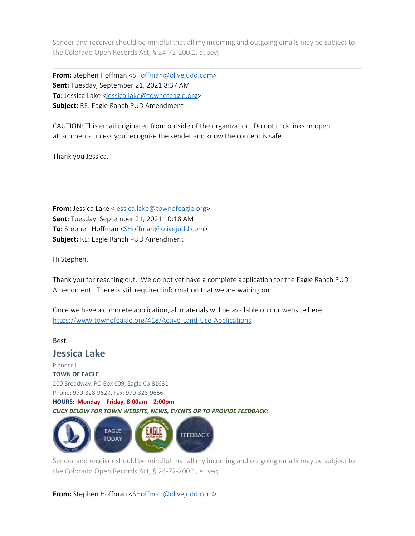Sender and receiver should be mindful that all my incoming and outgoing emails may be subject to the Colorado Open Records Act, § 24-72-200.1, et seq.

**From:** Stephen Hoffman [<SHoffman@olivejudd.com](mailto:SHoffman@olivejudd.com)> **Sent:** Tuesday, September 21, 2021 8:37 AM To: Jessica Lake <[jessica.lake@townofeagle.org](mailto:jessica.lake@townofeagle.org)> **Subject:** RE: Eagle Ranch PUD Amendment

CAUTION: This email originated from outside of the organization. Do not click links or open attachments unless you recognize the sender and know the content is safe.

Thank you Jessica.

**From:** Jessica Lake <[jessica.lake@townofeagle.org](mailto:jessica.lake@townofeagle.org)> **Sent:** Tuesday, September 21, 2021 10:18 AM **To:** Stephen Hoffman [<SHoffman@olivejudd.com](mailto:SHoffman@olivejudd.com)> **Subject:** RE: Eagle Ranch PUD Amendment

Hi Stephen,

Thank you for reaching out. We do not yet have a complete application for the Eagle Ranch PUD Amendment. There is still required information that we are waiting on.

Once we have a complete application, all materials will be available on our website here: [https://www.townofeagle.org/418/Active-Land-Use-Applications](https://linkprotect.cudasvc.com/url?a=https%3a%2f%2fwww.townofeagle.org%2f418%2fActive-Land-Use-Applications&c=E,1,KbmxpMNb_ZXIkowtAFmhIm65le4j1XBDi48IUMJrkZJo-pvVxWb8CALmrl2z8pcW49YUJYGbWYlXAAZf9mmKP_9Lf_iQgD9Z3-8x1zrYo2yrk4gyoQ5i&typo=1)

Best,

**Jessica Lake**

Planner I **TOWN OF EAGLE** 200 Broadway, PO Box 609, Eagle Co 81631 Phone: 970-328-9627, Fax: 970-328-9656

**HOURS: Monday – Friday, 8:00am – 2:00pm** *CLICK BELOW FOR TOWN WEBSITE, NEWS, EVENTS OR TO PROVIDE FEEDBACK:*



Sender and receiver should be mindful that all my incoming and outgoing emails may be subject to the Colorado Open Records Act, § 24-72-200.1, et seq.

**From:** Stephen Hoffman [<SHoffman@olivejudd.com](mailto:SHoffman@olivejudd.com)>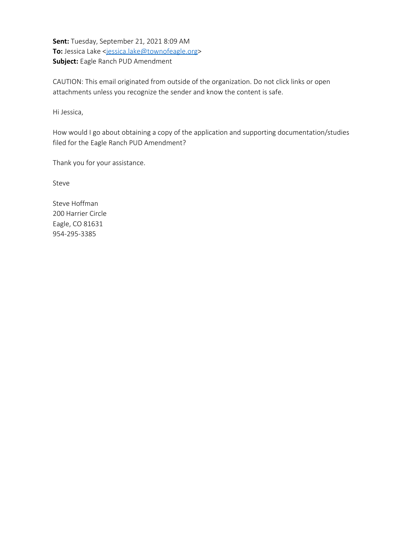**Sent:** Tuesday, September 21, 2021 8:09 AM To: Jessica Lake <[jessica.lake@townofeagle.org](mailto:jessica.lake@townofeagle.org)> **Subject:** Eagle Ranch PUD Amendment

CAUTION: This email originated from outside of the organization. Do not click links or open attachments unless you recognize the sender and know the content is safe.

Hi Jessica,

How would I go about obtaining a copy of the application and supporting documentation/studies filed for the Eagle Ranch PUD Amendment?

Thank you for your assistance.

Steve

Steve Hoffman 200 Harrier Circle Eagle, CO 81631 954-295-3385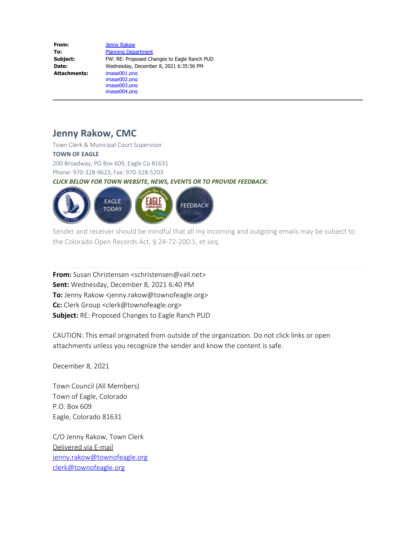| From:               | <b>Jenny Rakow</b>                          |
|---------------------|---------------------------------------------|
| To:                 | <b>Planning Department</b>                  |
| Subject:            | FW: RE: Proposed Changes to Eagle Ranch PUD |
| Date:               | Wednesday, December 8, 2021 6:35:56 PM      |
| <b>Attachments:</b> | image001.png                                |
|                     | image002.png                                |
|                     | image003.png                                |
|                     | image004.png                                |

# **Jenny Rakow, CMC**

Town Clerk & Municipal Court Supervisor **TOWN OF EAGLE** 200 Broadway, PO Box 609, Eagle Co 81631 Phone: 970-328-9623, Fax: 970-328-5203 *CLICK BELOW FOR TOWN WEBSITE, NEWS, EVENTS OR TO PROVIDE FEEDBACK:*



Sender and receiver should be mindful that all my incoming and outgoing emails may be subject to the Colorado Open Records Act, § 24-72-200.1, et seq.

**From:** Susan Christensen <schristensen@vail.net> **Sent:** Wednesday, December 8, 2021 6:40 PM **To:** Jenny Rakow <jenny.rakow@townofeagle.org> **Cc:** Clerk Group <clerk@townofeagle.org> **Subject:** RE: Proposed Changes to Eagle Ranch PUD

CAUTION: This email originated from outside of the organization. Do not click links or open attachments unless you recognize the sender and know the content is safe.

December 8, 2021

Town Council (All Members) Town of Eagle, Colorado P.O. Box 609 Eagle, Colorado 81631

C/O Jenny Rakow, Town Clerk Delivered via E-mail [jenny.rakow@townofeagle.org](mailto:jenny.rakow@townofeagle.org) [clerk@townofeagle.org](mailto:clerk@townofeagle.org)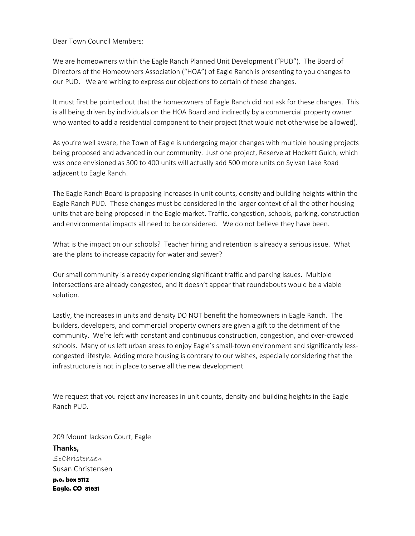Dear Town Council Members:

We are homeowners within the Eagle Ranch Planned Unit Development ("PUD"). The Board of Directors of the Homeowners Association ("HOA") of Eagle Ranch is presenting to you changes to our PUD. We are writing to express our objections to certain of these changes.

It must first be pointed out that the homeowners of Eagle Ranch did not ask for these changes. This is all being driven by individuals on the HOA Board and indirectly by a commercial property owner who wanted to add a residential component to their project (that would not otherwise be allowed).

As you're well aware, the Town of Eagle is undergoing major changes with multiple housing projects being proposed and advanced in our community. Just one project, Reserve at Hockett Gulch, which was once envisioned as 300 to 400 units will actually add 500 more units on Sylvan Lake Road adjacent to Eagle Ranch.

The Eagle Ranch Board is proposing increases in unit counts, density and building heights within the Eagle Ranch PUD. These changes must be considered in the larger context of all the other housing units that are being proposed in the Eagle market. Traffic, congestion, schools, parking, construction and environmental impacts all need to be considered. We do not believe they have been.

What is the impact on our schools? Teacher hiring and retention is already a serious issue. What are the plans to increase capacity for water and sewer?

Our small community is already experiencing significant traffic and parking issues. Multiple intersections are already congested, and it doesn't appear that roundabouts would be a viable solution.

Lastly, the increases in units and density DO NOT benefit the homeowners in Eagle Ranch. The builders, developers, and commercial property owners are given a gift to the detriment of the community. We're left with constant and continuous construction, congestion, and over-crowded schools. Many of us left urban areas to enjoy Eagle's small-town environment and significantly lesscongested lifestyle. Adding more housing is contrary to our wishes, especially considering that the infrastructure is not in place to serve all the new development

We request that you reject any increases in unit counts, density and building heights in the Eagle Ranch PUD.

209 Mount Jackson Court, Eagle **Thanks,** SeChristensen Susan Christensen **p.o. box 5112 Eagle. CO 81631**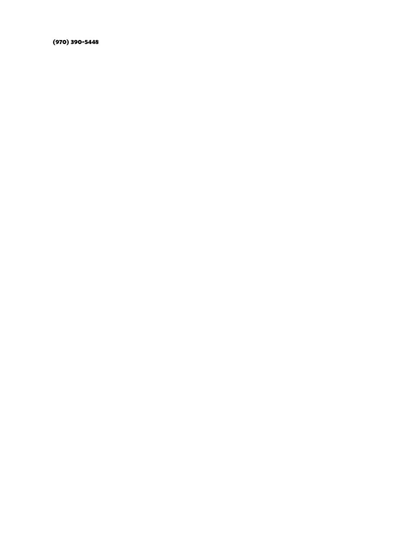**(970) 390-5448**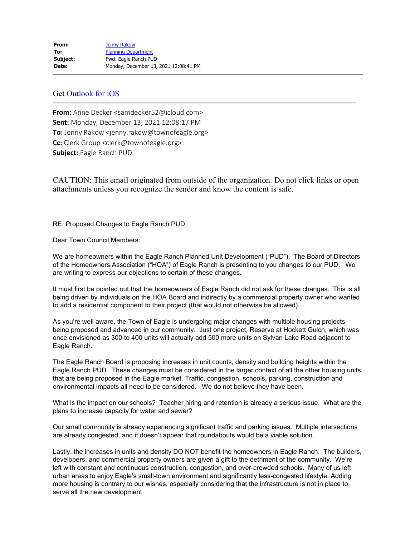#### Get [Outlook for iOS](https://aka.ms/o0ukef)

**From:** Anne Decker <samdecker52@icloud.com> **Sent:** Monday, December 13, 2021 12:08:17 PM **To:** Jenny Rakow <jenny.rakow@townofeagle.org> **Cc:** Clerk Group <clerk@townofeagle.org> **Subject:** Eagle Ranch PUD

CAUTION: This email originated from outside of the organization. Do not click links or open attachments unless you recognize the sender and know the content is safe.

RE: Proposed Changes to Eagle Ranch PUD

Dear Town Council Members:

We are homeowners within the Eagle Ranch Planned Unit Development ("PUD"). The Board of Directors of the Homeowners Association ("HOA") of Eagle Ranch is presenting to you changes to our PUD. We are writing to express our objections to certain of these changes.

It must first be pointed out that the homeowners of Eagle Ranch did not ask for these changes. This is all being driven by individuals on the HOA Board and indirectly by a commercial property owner who wanted to add a residential component to their project (that would not otherwise be allowed).

As you're well aware, the Town of Eagle is undergoing major changes with multiple housing projects being proposed and advanced in our community. Just one project, Reserve at Hockett Gulch, which was once envisioned as 300 to 400 units will actually add 500 more units on Sylvan Lake Road adjacent to Eagle Ranch.

The Eagle Ranch Board is proposing increases in unit counts, density and building heights within the Eagle Ranch PUD. These changes must be considered in the larger context of all the other housing units that are being proposed in the Eagle market. Traffic, congestion, schools, parking, construction and environmental impacts all need to be considered. We do not believe they have been.

What is the impact on our schools? Teacher hiring and retention is already a serious issue. What are the plans to increase capacity for water and sewer?

Our small community is already experiencing significant traffic and parking issues. Multiple intersections are already congested, and it doesn't appear that roundabouts would be a viable solution.

Lastly, the increases in units and density DO NOT benefit the homeowners in Eagle Ranch. The builders, developers, and commercial property owners are given a gift to the detriment of the community. We're left with constant and continuous construction, congestion, and over-crowded schools. Many of us left urban areas to enjoy Eagle's small-town environment and significantly less-congested lifestyle. Adding more housing is contrary to our wishes, especially considering that the infrastructure is not in place to serve all the new development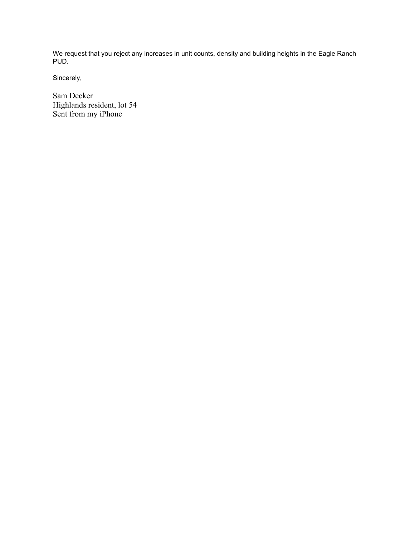We request that you reject any increases in unit counts, density and building heights in the Eagle Ranch PUD.

Sincerely,

Sam Decker Highlands resident, lot 54 Sent from my iPhone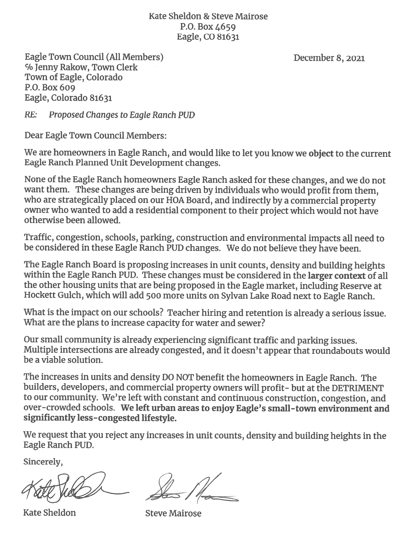Kate Sheldon & Steve Mairose P.O. Box 4659 Eagle, CO 81631

Eagle Town Council (All Members) % Jenny Rakow, Town Clerk Town of Eagle, Colorado P.O. Box 609 Eagle, Colorado 81631

December 8, 2021

 $RE:$ Proposed Changes to Eagle Ranch PUD

Dear Eagle Town Council Members:

We are homeowners in Eagle Ranch, and would like to let you know we object to the current Eagle Ranch Planned Unit Development changes.

None of the Eagle Ranch homeowners Eagle Ranch asked for these changes, and we do not want them. These changes are being driven by individuals who would profit from them. who are strategically placed on our HOA Board, and indirectly by a commercial property owner who wanted to add a residential component to their project which would not have otherwise been allowed.

Traffic, congestion, schools, parking, construction and environmental impacts all need to be considered in these Eagle Ranch PUD changes. We do not believe they have been.

The Eagle Ranch Board is proposing increases in unit counts, density and building heights within the Eagle Ranch PUD. These changes must be considered in the larger context of all the other housing units that are being proposed in the Eagle market, including Reserve at Hockett Gulch, which will add 500 more units on Sylvan Lake Road next to Eagle Ranch.

What is the impact on our schools? Teacher hiring and retention is already a serious issue. What are the plans to increase capacity for water and sewer?

Our small community is already experiencing significant traffic and parking issues. Multiple intersections are already congested, and it doesn't appear that roundabouts would be a viable solution.

The increases in units and density DO NOT benefit the homeowners in Eagle Ranch. The builders, developers, and commercial property owners will profit- but at the DETRIMENT to our community. We're left with constant and continuous construction, congestion, and over-crowded schools. We left urban areas to enjoy Eagle's small-town environment and significantly less-congested lifestyle.

We request that you reject any increases in unit counts, density and building heights in the Eagle Ranch PUD.

Sincerely,

**Kate Sheldon** 

**Steve Mairose**